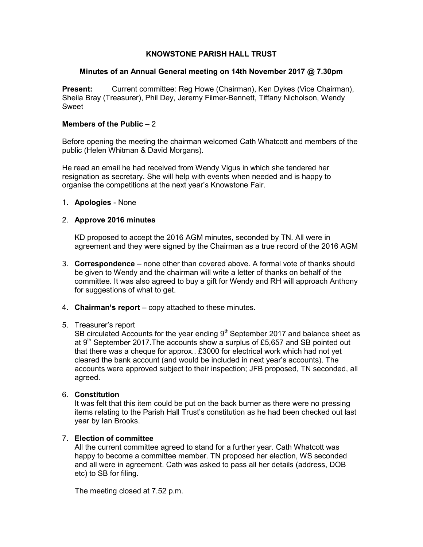# KNOWSTONE PARISH HALL TRUST

### Minutes of an Annual General meeting on 14th November 2017 @ 7.30pm

Present: Current committee: Reg Howe (Chairman), Ken Dykes (Vice Chairman), Sheila Bray (Treasurer), Phil Dey, Jeremy Filmer-Bennett, Tiffany Nicholson, Wendy Sweet

#### Members of the Public  $-2$

Before opening the meeting the chairman welcomed Cath Whatcott and members of the public (Helen Whitman & David Morgans).

He read an email he had received from Wendy Vigus in which she tendered her resignation as secretary. She will help with events when needed and is happy to organise the competitions at the next year's Knowstone Fair.

#### 1. Apologies - None

#### 2. Approve 2016 minutes

KD proposed to accept the 2016 AGM minutes, seconded by TN. All were in agreement and they were signed by the Chairman as a true record of the 2016 AGM

- 3. Correspondence none other than covered above. A formal vote of thanks should be given to Wendy and the chairman will write a letter of thanks on behalf of the committee. It was also agreed to buy a gift for Wendy and RH will approach Anthony for suggestions of what to get.
- 4. **Chairman's report**  $-\text{copy attached to these minutes.}$

#### 5. Treasurer's report

SB circulated Accounts for the year ending  $9<sup>th</sup>$  September 2017 and balance sheet as at  $9<sup>th</sup>$  September 2017. The accounts show a surplus of £5,657 and SB pointed out that there was a cheque for approx.. £3000 for electrical work which had not yet cleared the bank account (and would be included in next year's accounts). The accounts were approved subject to their inspection; JFB proposed, TN seconded, all agreed.

#### 6. Constitution

It was felt that this item could be put on the back burner as there were no pressing items relating to the Parish Hall Trust's constitution as he had been checked out last year by Ian Brooks.

## 7. Election of committee

All the current committee agreed to stand for a further year. Cath Whatcott was happy to become a committee member. TN proposed her election, WS seconded and all were in agreement. Cath was asked to pass all her details (address, DOB etc) to SB for filing.

The meeting closed at 7.52 p.m.